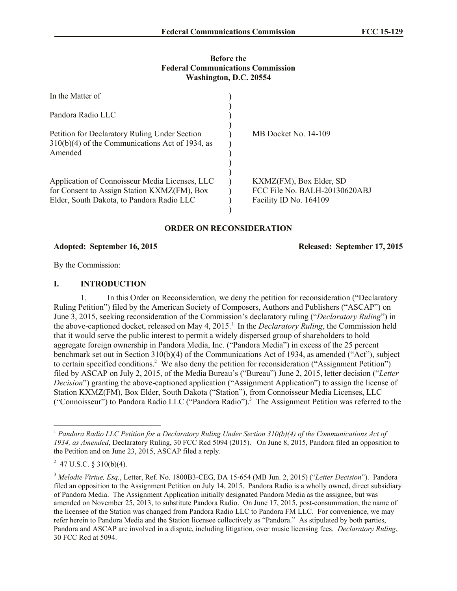#### **Before the Federal Communications Commission Washington, D.C. 20554**

| In the Matter of                                                                                                                           |                                                                                    |
|--------------------------------------------------------------------------------------------------------------------------------------------|------------------------------------------------------------------------------------|
| Pandora Radio LLC                                                                                                                          |                                                                                    |
| Petition for Declaratory Ruling Under Section<br>$310(b)(4)$ of the Communications Act of 1934, as<br>Amended                              | MB Docket No. 14-109                                                               |
| Application of Connoisseur Media Licenses, LLC<br>for Consent to Assign Station KXMZ(FM), Box<br>Elder, South Dakota, to Pandora Radio LLC | KXMZ(FM), Box Elder, SD<br>FCC File No. BALH-20130620ABJ<br>Facility ID No. 164109 |

#### **ORDER ON RECONSIDERATION**

#### **Adopted: September 16, 2015 Released: September 17, 2015**

By the Commission:

#### **I. INTRODUCTION**

1. In this Order on Reconsideration*,* we deny the petition for reconsideration ("Declaratory Ruling Petition") filed by the American Society of Composers, Authors and Publishers ("ASCAP") on June 3, 2015, seeking reconsideration of the Commission's declaratory ruling ("*Declaratory Ruling*") in the above-captioned docket, released on May 4, 2015.<sup>1</sup> In the *Declaratory Ruling*, the Commission held that it would serve the public interest to permit a widely dispersed group of shareholders to hold aggregate foreign ownership in Pandora Media, Inc. ("Pandora Media") in excess of the 25 percent benchmark set out in Section 310(b)(4) of the Communications Act of 1934, as amended ("Act"), subject to certain specified conditions.<sup>2</sup> We also deny the petition for reconsideration ("Assignment Petition") filed by ASCAP on July 2, 2015, of the Media Bureau's ("Bureau") June 2, 2015, letter decision ("*Letter Decision*") granting the above-captioned application ("Assignment Application") to assign the license of Station KXMZ(FM), Box Elder, South Dakota ("Station"), from Connoisseur Media Licenses, LLC ("Connoisseur") to Pandora Radio LLC ("Pandora Radio").<sup>3</sup> The Assignment Petition was referred to the

 $\overline{a}$ 

<sup>1</sup> *Pandora Radio LLC Petition for a Declaratory Ruling Under Section 310(b)(4) of the Communications Act of 1934, as Amended*, Declaratory Ruling, 30 FCC Rcd 5094 (2015). On June 8, 2015, Pandora filed an opposition to the Petition and on June 23, 2015, ASCAP filed a reply.

 $^{2}$  47 U.S.C. § 310(b)(4).

<sup>3</sup> *Melodie Virtue, Esq.*, Letter, Ref. No. 1800B3-CEG, DA 15-654 (MB Jun. 2, 2015) ("*Letter Decision*"). Pandora filed an opposition to the Assignment Petition on July 14, 2015. Pandora Radio is a wholly owned, direct subsidiary of Pandora Media. The Assignment Application initially designated Pandora Media as the assignee, but was amended on November 25, 2013, to substitute Pandora Radio. On June 17, 2015, post-consummation, the name of the licensee of the Station was changed from Pandora Radio LLC to Pandora FM LLC. For convenience, we may refer herein to Pandora Media and the Station licensee collectively as "Pandora." As stipulated by both parties, Pandora and ASCAP are involved in a dispute, including litigation, over music licensing fees. *Declaratory Ruling*, 30 FCC Rcd at 5094.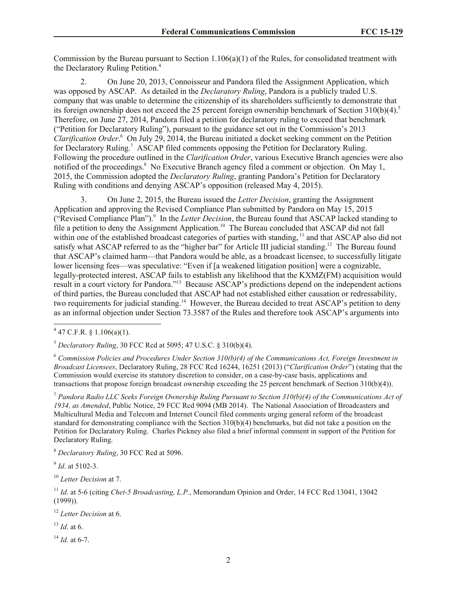Commission by the Bureau pursuant to Section 1.106(a)(1) of the Rules, for consolidated treatment with the Declaratory Ruling Petition.<sup>4</sup>

2. On June 20, 2013, Connoisseur and Pandora filed the Assignment Application, which was opposed by ASCAP. As detailed in the *Declaratory Ruling*, Pandora is a publicly traded U.S. company that was unable to determine the citizenship of its shareholders sufficiently to demonstrate that its foreign ownership does not exceed the 25 percent foreign ownership benchmark of Section  $310(b)(4)$ .<sup>5</sup> Therefore, on June 27, 2014, Pandora filed a petition for declaratory ruling to exceed that benchmark ("Petition for Declaratory Ruling"), pursuant to the guidance set out in the Commission's 2013 Clarification Order.<sup>6</sup> On July 29, 2014, the Bureau initiated a docket seeking comment on the Petition for Declaratory Ruling.<sup>7</sup> ASCAP filed comments opposing the Petition for Declaratory Ruling. Following the procedure outlined in the *Clarification Order*, various Executive Branch agencies were also notified of the proceedings.<sup>8</sup> No Executive Branch agency filed a comment or objection. On May 1, 2015, the Commission adopted the *Declaratory Ruling*, granting Pandora's Petition for Declaratory Ruling with conditions and denying ASCAP's opposition (released May 4, 2015).

3. On June 2, 2015, the Bureau issued the *Letter Decision*, granting the Assignment Application and approving the Revised Compliance Plan submitted by Pandora on May 15, 2015 ("Revised Compliance Plan").<sup>9</sup> In the *Letter Decision*, the Bureau found that ASCAP lacked standing to file a petition to deny the Assignment Application.<sup>10</sup> The Bureau concluded that ASCAP did not fall within one of the established broadcast categories of parties with standing, <sup>11</sup> and that ASCAP also did not satisfy what ASCAP referred to as the "higher bar" for Article III judicial standing.<sup>12</sup> The Bureau found that ASCAP's claimed harm—that Pandora would be able, as a broadcast licensee, to successfully litigate lower licensing fees—was speculative: "Even if [a weakened litigation position] were a cognizable, legally-protected interest, ASCAP fails to establish any likelihood that the KXMZ(FM) acquisition would result in a court victory for Pandora."<sup>13</sup> Because ASCAP's predictions depend on the independent actions of third parties, the Bureau concluded that ASCAP had not established either causation or redressability, two requirements for judicial standing.<sup>14</sup> However, the Bureau decided to treat ASCAP's petition to deny as an informal objection under Section 73.3587 of the Rules and therefore took ASCAP's arguments into

l

<sup>5</sup> *Declaratory Ruling*, 30 FCC Rcd at 5095; 47 U.S.C. § 310(b)(4).

<sup>6</sup> *Commission Policies and Procedures Under Section 310(b)(4) of the Communications Act, Foreign Investment in Broadcast Licensees*, Declaratory Ruling, 28 FCC Rcd 16244, 16251 (2013) ("*Clarification Order*") (stating that the Commission would exercise its statutory discretion to consider, on a case-by-case basis, applications and transactions that propose foreign broadcast ownership exceeding the 25 percent benchmark of Section 310(b)(4)).

<sup>7</sup> *Pandora Radio LLC Seeks Foreign Ownership Ruling Pursuant to Section 310(b)(4) of the Communications Act of 1934, as Amended*, Public Notice, 29 FCC Rcd 9094 (MB 2014). The National Association of Broadcasters and Multicultural Media and Telecom and Internet Council filed comments urging general reform of the broadcast standard for demonstrating compliance with the Section 310(b)(4) benchmarks, but did not take a position on the Petition for Declaratory Ruling. Charles Pickney also filed a brief informal comment in support of the Petition for Declaratory Ruling.

<sup>8</sup> *Declaratory Ruling*, 30 FCC Rcd at 5096.

9 *Id*. at 5102-3.

<sup>10</sup> *Letter Decision* at 7.

<sup>11</sup> *Id*. at 5-6 (citing *Chet-5 Broadcasting, L.P.*, Memorandum Opinion and Order, 14 FCC Rcd 13041, 13042 (1999)).

<sup>12</sup> *Letter Decision* at 6.

 $^{13}$  *Id.* at 6.

<sup>14</sup> *Id.* at 6-7.

 $447$  C.F.R. § 1.106(a)(1).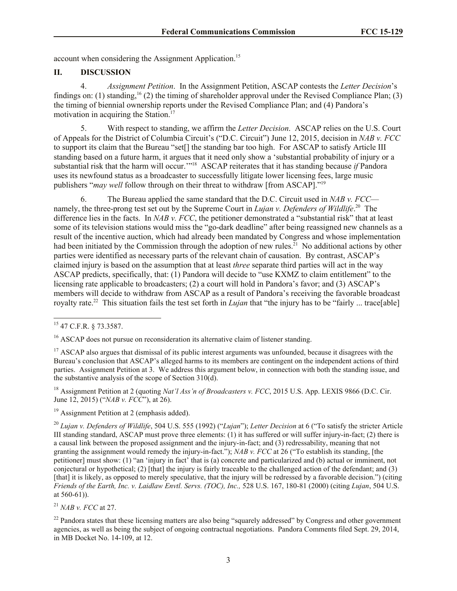account when considering the Assignment Application.<sup>15</sup>

### **II. DISCUSSION**

4. *Assignment Petition*. In the Assignment Petition, ASCAP contests the *Letter Decision*'s findings on: (1) standing,  $^{16}$  (2) the timing of shareholder approval under the Revised Compliance Plan; (3) the timing of biennial ownership reports under the Revised Compliance Plan; and (4) Pandora's motivation in acquiring the Station.<sup>17</sup>

5. With respect to standing, we affirm the *Letter Decision*. ASCAP relies on the U.S. Court of Appeals for the District of Columbia Circuit's ("D.C. Circuit") June 12, 2015, decision in *NAB v. FCC* to support its claim that the Bureau "set[] the standing bar too high. For ASCAP to satisfy Article III standing based on a future harm, it argues that it need only show a 'substantial probability of injury or a substantial risk that the harm will occur."<sup>18</sup> ASCAP reiterates that it has standing because *if* Pandora uses its newfound status as a broadcaster to successfully litigate lower licensing fees, large music publishers "*may well* follow through on their threat to withdraw [from ASCAP]."<sup>19</sup>

6. The Bureau applied the same standard that the D.C. Circuit used in *NAB v. FCC* namely, the three-prong test set out by the Supreme Court in *Lujan v. Defenders of Wildlife*. 20 The difference lies in the facts. In *NAB v. FCC*, the petitioner demonstrated a "substantial risk" that at least some of its television stations would miss the "go-dark deadline" after being reassigned new channels as a result of the incentive auction, which had already been mandated by Congress and whose implementation had been initiated by the Commission through the adoption of new rules.<sup>21</sup> No additional actions by other parties were identified as necessary parts of the relevant chain of causation. By contrast, ASCAP's claimed injury is based on the assumption that at least *three* separate third parties will act in the way ASCAP predicts, specifically, that: (1) Pandora will decide to "use KXMZ to claim entitlement" to the licensing rate applicable to broadcasters; (2) a court will hold in Pandora's favor; and (3) ASCAP's members will decide to withdraw from ASCAP as a result of Pandora's receiving the favorable broadcast royalty rate.<sup>22</sup> This situation fails the test set forth in *Lujan* that "the injury has to be "fairly ... trace[able]

<sup>19</sup> Assignment Petition at 2 (emphasis added).

<sup>22</sup> Pandora states that these licensing matters are also being "squarely addressed" by Congress and other government agencies, as well as being the subject of ongoing contractual negotiations. Pandora Comments filed Sept. 29, 2014, in MB Docket No. 14-109, at 12.

l <sup>15</sup> 47 C.F.R. § 73.3587.

<sup>&</sup>lt;sup>16</sup> ASCAP does not pursue on reconsideration its alternative claim of listener standing.

<sup>&</sup>lt;sup>17</sup> ASCAP also argues that dismissal of its public interest arguments was unfounded, because it disagrees with the Bureau's conclusion that ASCAP's alleged harms to its members are contingent on the independent actions of third parties. Assignment Petition at 3. We address this argument below, in connection with both the standing issue, and the substantive analysis of the scope of Section 310(d).

<sup>&</sup>lt;sup>18</sup> Assignment Petition at 2 (quoting *Nat'l Ass'n of Broadcasters v. FCC*, 2015 U.S. App. LEXIS 9866 (D.C. Cir. June 12, 2015) ("*NAB v. FCC*"), at 26).

<sup>20</sup> *Lujan v. Defenders of Wildlife*, 504 U.S. 555 (1992) ("*Lujan*"); *Letter Decision* at 6 ("To satisfy the stricter Article III standing standard, ASCAP must prove three elements: (1) it has suffered or will suffer injury-in-fact; (2) there is a causal link between the proposed assignment and the injury-in-fact; and (3) redressability, meaning that not granting the assignment would remedy the injury-in-fact."); *NAB v. FCC* at 26 ("To establish its standing, [the petitioner] must show: (1) "an 'injury in fact' that is (a) concrete and particularized and (b) actual or imminent, not conjectural or hypothetical; (2) [that] the injury is fairly traceable to the challenged action of the defendant; and (3) [that] it is likely, as opposed to merely speculative, that the injury will be redressed by a favorable decision.") (citing *Friends of the Earth, Inc. v. Laidlaw Envtl. Servs. (TOC), Inc.,* 528 U.S. 167, 180-81 (2000) (citing *Lujan*, 504 U.S. at 560-61)).

<sup>21</sup> *NAB v. FCC* at 27.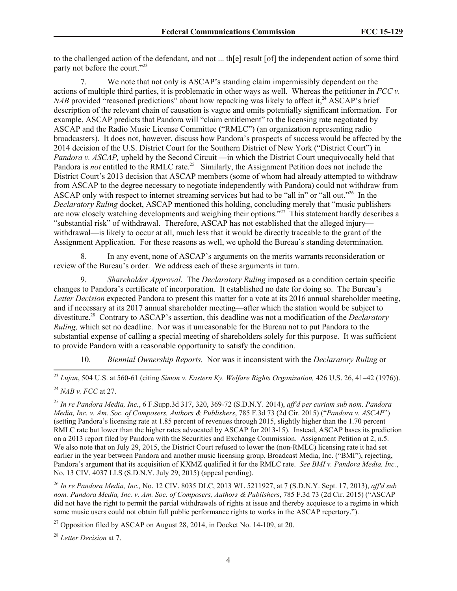to the challenged action of the defendant, and not ... th[e] result [of] the independent action of some third party not before the court."<sup>23</sup>

7. We note that not only is ASCAP's standing claim impermissibly dependent on the actions of multiple third parties, it is problematic in other ways as well. Whereas the petitioner in *FCC v. NAB* provided "reasoned predictions" about how repacking was likely to affect it.<sup>24</sup> ASCAP's brief description of the relevant chain of causation is vague and omits potentially significant information. For example, ASCAP predicts that Pandora will "claim entitlement" to the licensing rate negotiated by ASCAP and the Radio Music License Committee ("RMLC") (an organization representing radio broadcasters). It does not, however, discuss how Pandora's prospects of success would be affected by the 2014 decision of the U.S. District Court for the Southern District of New York ("District Court") in *Pandora v. ASCAP*, upheld by the Second Circuit —in which the District Court unequivocally held that Pandora is *not* entitled to the RMLC rate.<sup>25</sup> Similarly, the Assignment Petition does not include the District Court's 2013 decision that ASCAP members (some of whom had already attempted to withdraw from ASCAP to the degree necessary to negotiate independently with Pandora) could not withdraw from ASCAP only with respect to internet streaming services but had to be "all in" or "all out."<sup>26</sup> In the *Declaratory Ruling* docket, ASCAP mentioned this holding, concluding merely that "music publishers are now closely watching developments and weighing their options."<sup>27</sup> This statement hardly describes a "substantial risk" of withdrawal. Therefore, ASCAP has not established that the alleged injury withdrawal—is likely to occur at all, much less that it would be directly traceable to the grant of the Assignment Application. For these reasons as well, we uphold the Bureau's standing determination.

8. In any event, none of ASCAP's arguments on the merits warrants reconsideration or review of the Bureau's order. We address each of these arguments in turn.

9. *Shareholder Approval.* The *Declaratory Ruling* imposed as a condition certain specific changes to Pandora's certificate of incorporation. It established no date for doing so. The Bureau's *Letter Decision* expected Pandora to present this matter for a vote at its 2016 annual shareholder meeting, and if necessary at its 2017 annual shareholder meeting—after which the station would be subject to divestiture.<sup>28</sup> Contrary to ASCAP's assertion, this deadline was not a modification of the *Declaratory Ruling,* which set no deadline. Nor was it unreasonable for the Bureau not to put Pandora to the substantial expense of calling a special meeting of shareholders solely for this purpose. It was sufficient to provide Pandora with a reasonable opportunity to satisfy the condition.

10. *Biennial Ownership Reports.* Nor was it inconsistent with the *Declaratory Ruling* or

l

<sup>26</sup> *In re Pandora Media, Inc.,* No. 12 CIV. 8035 DLC, 2013 WL 5211927, at 7 (S.D.N.Y. Sept. 17, 2013), *aff'd sub nom. Pandora Media, Inc. v. Am. Soc. of Composers, Authors & Publishers*, 785 F.3d 73 (2d Cir. 2015) ("ASCAP did not have the right to permit the partial withdrawals of rights at issue and thereby acquiesce to a regime in which some music users could not obtain full public performance rights to works in the ASCAP repertory.").

<sup>27</sup> Opposition filed by ASCAP on August 28, 2014, in Docket No. 14-109, at 20.

<sup>28</sup> *Letter Decision* at 7.

<sup>23</sup> *Lujan*, 504 U.S. at 560-61 (citing *Simon v. Eastern Ky. Welfare Rights Organization,* 426 U.S. 26, 41–42 (1976)). <sup>24</sup> *NAB v. FCC* at 27.

<sup>25</sup> *In re Pandora Media, Inc.*, 6 F.Supp.3d 317, 320, 369-72 (S.D.N.Y. 2014), *aff'd per curiam sub nom. Pandora Media, Inc. v. Am. Soc. of Composers, Authors & Publishers*, 785 F.3d 73 (2d Cir. 2015) ("*Pandora v. ASCAP*") (setting Pandora's licensing rate at 1.85 percent of revenues through 2015, slightly higher than the 1.70 percent RMLC rate but lower than the higher rates advocated by ASCAP for 2013-15). Instead, ASCAP bases its prediction on a 2013 report filed by Pandora with the Securities and Exchange Commission. Assignment Petition at 2, n.5. We also note that on July 29, 2015, the District Court refused to lower the (non-RMLC) licensing rate it had set earlier in the year between Pandora and another music licensing group, Broadcast Media, Inc. ("BMI"), rejecting, Pandora's argument that its acquisition of KXMZ qualified it for the RMLC rate. *See BMI v. Pandora Media, Inc.*, No. 13 CIV. 4037 LLS (S.D.N.Y. July 29, 2015) (appeal pending).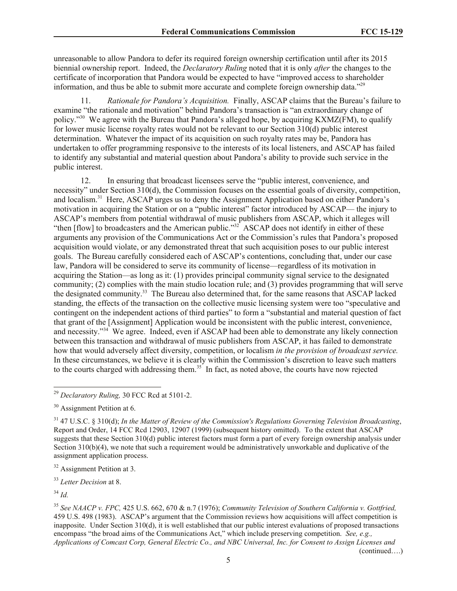unreasonable to allow Pandora to defer its required foreign ownership certification until after its 2015 biennial ownership report. Indeed, the *Declaratory Ruling* noted that it is only *after* the changes to the certificate of incorporation that Pandora would be expected to have "improved access to shareholder information, and thus be able to submit more accurate and complete foreign ownership data."<sup>29</sup>

11. *Rationale for Pandora's Acquisition.* Finally, ASCAP claims that the Bureau's failure to examine "the rationale and motivation" behind Pandora's transaction is "an extraordinary change of policy."<sup>30</sup> We agree with the Bureau that Pandora's alleged hope, by acquiring KXMZ(FM), to qualify for lower music license royalty rates would not be relevant to our Section 310(d) public interest determination. Whatever the impact of its acquisition on such royalty rates may be, Pandora has undertaken to offer programming responsive to the interests of its local listeners, and ASCAP has failed to identify any substantial and material question about Pandora's ability to provide such service in the public interest.

12. In ensuring that broadcast licensees serve the "public interest, convenience, and necessity" under Section 310(d), the Commission focuses on the essential goals of diversity, competition, and localism.<sup>31</sup> Here, ASCAP urges us to deny the Assignment Application based on either Pandora's motivation in acquiring the Station or on a "public interest" factor introduced by ASCAP— the injury to ASCAP's members from potential withdrawal of music publishers from ASCAP, which it alleges will "then [flow] to broadcasters and the American public."<sup>32</sup> ASCAP does not identify in either of these arguments any provision of the Communications Act or the Commission's rules that Pandora's proposed acquisition would violate, or any demonstrated threat that such acquisition poses to our public interest goals. The Bureau carefully considered each of ASCAP's contentions, concluding that, under our case law, Pandora will be considered to serve its community of license—regardless of its motivation in acquiring the Station—as long as it: (1) provides principal community signal service to the designated community; (2) complies with the main studio location rule; and (3) provides programming that will serve the designated community.<sup>33</sup> The Bureau also determined that, for the same reasons that ASCAP lacked standing, the effects of the transaction on the collective music licensing system were too "speculative and contingent on the independent actions of third parties" to form a "substantial and material question of fact that grant of the [Assignment] Application would be inconsistent with the public interest, convenience, and necessity."<sup>34</sup> We agree. Indeed, even if ASCAP had been able to demonstrate any likely connection between this transaction and withdrawal of music publishers from ASCAP, it has failed to demonstrate how that would adversely affect diversity, competition, or localism *in the provision of broadcast service.*  In these circumstances, we believe it is clearly within the Commission's discretion to leave such matters to the courts charged with addressing them.<sup>35</sup> In fact, as noted above, the courts have now rejected

l

(continued….)

<sup>29</sup> *Declaratory Ruling,* 30 FCC Rcd at 5101-2.

<sup>&</sup>lt;sup>30</sup> Assignment Petition at 6.

<sup>31</sup> 47 U.S.C. § 310(d); *In the Matter of Review of the Commission's Regulations Governing Television Broadcasting*, Report and Order, 14 FCC Rcd 12903, 12907 (1999) (subsequent history omitted). To the extent that ASCAP suggests that these Section 310(d) public interest factors must form a part of every foreign ownership analysis under Section 310(b)(4), we note that such a requirement would be administratively unworkable and duplicative of the assignment application process.

<sup>32</sup> Assignment Petition at 3.

<sup>33</sup> *Letter Decision* at 8.

<sup>34</sup> *Id.*

<sup>35</sup> *See NAACP v. FPC,* 425 U.S. 662, 670 & n.7 (1976); *Community Television of Southern California v. Gottfried,*  459 U.S. 498 (1983). ASCAP's argument that the Commission reviews how acquisitions will affect competition is inapposite. Under Section 310(d), it is well established that our public interest evaluations of proposed transactions encompass "the broad aims of the Communications Act," which include preserving competition. *See, e.g., Applications of Comcast Corp, General Electric Co., and NBC Universal, Inc. for Consent to Assign Licenses and*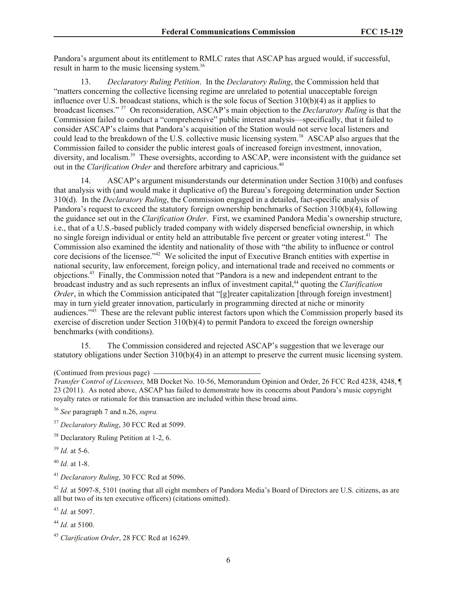Pandora's argument about its entitlement to RMLC rates that ASCAP has argued would, if successful, result in harm to the music licensing system.<sup>36</sup>

13. *Declaratory Ruling Petition*.In the *Declaratory Ruling*, the Commission held that "matters concerning the collective licensing regime are unrelated to potential unacceptable foreign influence over U.S. broadcast stations, which is the sole focus of Section  $310(b)(4)$  as it applies to broadcast licenses." <sup>37</sup> On reconsideration, ASCAP's main objection to the *Declaratory Ruling* is that the Commission failed to conduct a "comprehensive" public interest analysis—specifically, that it failed to consider ASCAP's claims that Pandora's acquisition of the Station would not serve local listeners and could lead to the breakdown of the U.S. collective music licensing system.<sup>38</sup> ASCAP also argues that the Commission failed to consider the public interest goals of increased foreign investment, innovation, diversity, and localism.<sup>39</sup> These oversights, according to ASCAP, were inconsistent with the guidance set out in the *Clarification Order* and therefore arbitrary and capricious.<sup>40</sup>

14. ASCAP's argument misunderstands our determination under Section 310(b) and confuses that analysis with (and would make it duplicative of) the Bureau's foregoing determination under Section 310(d). In the *Declaratory Ruling*, the Commission engaged in a detailed, fact-specific analysis of Pandora's request to exceed the statutory foreign ownership benchmarks of Section 310(b)(4), following the guidance set out in the *Clarification Order*. First, we examined Pandora Media's ownership structure, i.e., that of a U.S.-based publicly traded company with widely dispersed beneficial ownership, in which no single foreign individual or entity held an attributable five percent or greater voting interest.<sup>41</sup> The Commission also examined the identity and nationality of those with "the ability to influence or control core decisions of the licensee.<sup>"42</sup> We solicited the input of Executive Branch entities with expertise in national security, law enforcement, foreign policy, and international trade and received no comments or objections.<sup>43</sup> Finally, the Commission noted that "Pandora is a new and independent entrant to the broadcast industry and as such represents an influx of investment capital,<sup>44</sup> quoting the *Clarification Order*, in which the Commission anticipated that "[g]reater capitalization [through foreign investment] may in turn yield greater innovation, particularly in programming directed at niche or minority audiences."<sup>45</sup> These are the relevant public interest factors upon which the Commission properly based its exercise of discretion under Section  $\overline{310(b)(4)}$  to permit Pandora to exceed the foreign ownership benchmarks (with conditions).

15. The Commission considered and rejected ASCAP's suggestion that we leverage our statutory obligations under Section 310(b)(4) in an attempt to preserve the current music licensing system.

 $39$  *Id.* at 5-6.

<sup>40</sup> *Id.* at 1-8.

<sup>41</sup> *Declaratory Ruling*, 30 FCC Rcd at 5096.

<sup>42</sup> *Id.* at 5097-8, 5101 (noting that all eight members of Pandora Media's Board of Directors are U.S. citizens, as are all but two of its ten executive officers) (citations omitted).

<sup>43</sup> *Id.* at 5097.

<sup>44</sup> *Id.* at 5100.

<sup>(</sup>Continued from previous page)

*Transfer Control of Licensees,* MB Docket No. 10-56, Memorandum Opinion and Order, 26 FCC Rcd 4238, 4248, ¶ 23 (2011). As noted above, ASCAP has failed to demonstrate how its concerns about Pandora's music copyright royalty rates or rationale for this transaction are included within these broad aims.

<sup>36</sup> *See* paragraph 7 and n.26, *supra.*

<sup>37</sup> *Declaratory Ruling*, 30 FCC Rcd at 5099.

<sup>&</sup>lt;sup>38</sup> Declaratory Ruling Petition at 1-2, 6.

<sup>45</sup> *Clarification Order*, 28 FCC Rcd at 16249.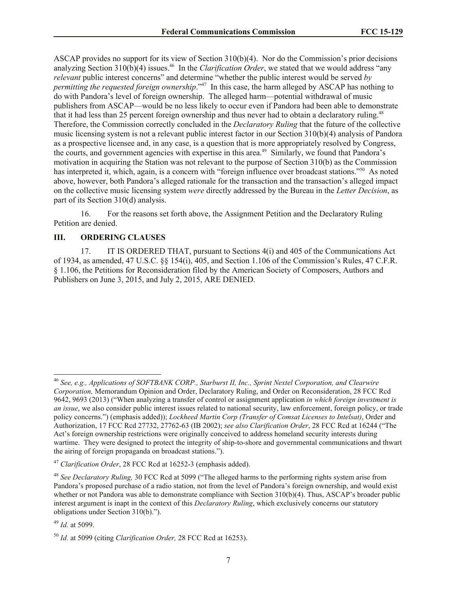ASCAP provides no support for its view of Section 310(b)(4). Nor do the Commission's prior decisions analyzing Section 310(b)(4) issues.<sup>46</sup> In the *Clarification Order*, we stated that we would address "any *relevant* public interest concerns" and determine "whether the public interest would be served *by permitting the requested foreign ownership.*"<sup>47</sup> In this case, the harm alleged by ASCAP has nothing to do with Pandora's level of foreign ownership. The alleged harm—potential withdrawal of music publishers from ASCAP—would be no less likely to occur even if Pandora had been able to demonstrate that it had less than 25 percent foreign ownership and thus never had to obtain a declaratory ruling.<sup>48</sup> Therefore, the Commission correctly concluded in the *Declaratory Ruling* that the future of the collective music licensing system is not a relevant public interest factor in our Section 310(b)(4) analysis of Pandora as a prospective licensee and, in any case, is a question that is more appropriately resolved by Congress, the courts, and government agencies with expertise in this area.<sup>49</sup> Similarly, we found that Pandora's motivation in acquiring the Station was not relevant to the purpose of Section 310(b) as the Commission has interpreted it, which, again, is a concern with "foreign influence over broadcast stations."<sup>50</sup> As noted above, however, both Pandora's alleged rationale for the transaction and the transaction's alleged impact on the collective music licensing system *were* directly addressed by the Bureau in the *Letter Decision*, as part of its Section 310(d) analysis.

16. For the reasons set forth above, the Assignment Petition and the Declaratory Ruling Petition are denied.

## **III. ORDERING CLAUSES**

17. IT IS ORDERED THAT, pursuant to Sections 4(i) and 405 of the Communications Act of 1934, as amended, 47 U.S.C. §§ 154(i), 405, and Section 1.106 of the Commission's Rules, 47 C.F.R. § 1.106, the Petitions for Reconsideration filed by the American Society of Composers, Authors and Publishers on June 3, 2015, and July 2, 2015, ARE DENIED.

l

<sup>46</sup> *See, e.g., Applications of SOFTBANK CORP., Starburst II, Inc., Sprint Nextel Corporation, and Clearwire Corporation,* Memorandum Opinion and Order, Declaratory Ruling, and Order on Reconsideration, 28 FCC Rcd 9642, 9693 (2013) ("When analyzing a transfer of control or assignment application *in which foreign investment is an issue*, we also consider public interest issues related to national security, law enforcement, foreign policy, or trade policy concerns.") (emphasis added)); *Lockheed Martin Corp (Transfer of Comsat Licenses to Intelsat)*, Order and Authorization, 17 FCC Rcd 27732, 27762-63 (IB 2002); *see also Clarification Order*, 28 FCC Rcd at 16244 ("The Act's foreign ownership restrictions were originally conceived to address homeland security interests during wartime. They were designed to protect the integrity of ship-to-shore and governmental communications and thwart the airing of foreign propaganda on broadcast stations.").

<sup>47</sup> *Clarification Order*, 28 FCC Rcd at 16252-3 (emphasis added).

<sup>48</sup> *See Declaratory Ruling,* 30 FCC Rcd at 5099 ("The alleged harms to the performing rights system arise from Pandora's proposed purchase of a radio station, not from the level of Pandora's foreign ownership, and would exist whether or not Pandora was able to demonstrate compliance with Section 310(b)(4). Thus, ASCAP's broader public interest argument is inapt in the context of this *Declaratory Ruling*, which exclusively concerns our statutory obligations under Section 310(b).").

<sup>49</sup> *Id.* at 5099.

<sup>50</sup> *Id.* at 5099 (citing *Clarification Order,* 28 FCC Rcd at 16253).